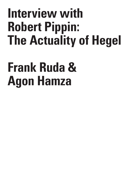## **Interview with Robert Pippin: The Actuality of Hegel**

## **Frank Ruda & Agon Hamza**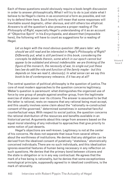Each of these questions would obviously require a book-length discussion in order to answer philosophically. What I will try to do is just state what I believe to be Hegel's claims in as economical a form as possible, and not try to defend them here. Such brevity will mean that some responses will inevitable sound dogmatic, other obvious, and still others too elliptical. Answers to all the question's also presume a proper reading of *The Philosophy of Right*, especially Hegel's understanding of it as an account of "Objective Spirit" in his *Encyclopedia*, and absent that (impossible here), the following will have to count as suggestions for a reading of Hegel.

*Let us begin with the most obvious question: 250 years later: why should we still read and be interested in Hegel's Philosophy of Right? Differently put, what is still pertinent in this book, considering the concepts he defends therein, some which in our epoch cannot but appear to be outdated and almost indefensible: we are thinking of the figure of the monarch, the necessity of war, to single out just these two (we do add the role and function of the family maybe - but this depends on how we read it, obviously). In what sense can we say this book to be of contemporary relevance, if it has any at all?*

The central question of political philosophy is the question of justice. The core of most modern approaches to the question concerns legitimacy. Weber's question is paramount: what distinguishes the organized use of force by one group of people against another group, from the legitimate exercise of state power over its citizens. The answer is assumed to be that the latter is rational, rests on reasons that any rational being must accept, and this usually involves some claim about the "rationally re-constructed consent of the governed," determined sometimes in somewhat fanciful counterfactual ways. With respect to social justice, the question concerns the rational distribution of the resources and benefits available in an historical period. Arguments about this range from answers based on the equal moral standing of any individual to approaches that give priority to some notion of just deserts.

Hegel's objections are well-known. Legitimacy is not at the center of his concerns. He does not separate that issue from several others about the worthiness of institutions. He denies that any obligation can be derived from the idealized consent of putatively "stateless," atomistically conceived individuals. There are no such individuals, and this idealization ignores essential features of human being necessary in any reflection on such questions. He denies that the primary bond between citizens and the state is obligation or is in any way contractual. He agrees that the mark of a free being is rationality, but he denies that some exceptionless nomological principle, supposedly agreed to in idealized conditions, is the mark of rationality.

C R  $\mathbf{I}$ S I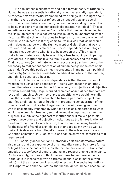He has instead a substantive and not a formal theory of rationality. Human beings are essentially rationally reflective, socially dependent, *historically self-transformative* embodied free beings. If he is right about this, then every aspect of our reflection on just political and social institutions must take account of it, and our understanding of what it is to be such a being must be historically diagnostic, not "ideal." (This is sometimes called a "naturalism," and while that can be misleading in the Hegelian context, it is not wrong.) We must try to understand what a historical life at a time is like, does to, inspires in, the persons who find themselves subject to it. If they come to live in a way that, as he would put it, does not agree with the right concept or Geist, then that way is irrational and unjust. His claim about social dependence is ontological not empirical, concerns what it is to be a person at all. This means that a human being can only be what it is, a free being, in participating with others in institutions like the family, civil society and the state. That institutions (or their late modern successors) can be shown to be necessary to realize that conception of human beings is the core of his case. I don't see this position much represented in mainstream political philosophy (or in modern constitutional liberal societies for that matter) and I think it deserves a hearing.

His full claim about social dependence is that the realization of freedom for such a being consists in: "being with oneself in an other," often otherwise expressed in the PR as a unity of subjective and objective freedom. Remarkably, Hegel's prized examples of actualized freedom are love and friendship. Under liberal presuppositions, we would normally think that in order for all and each to be free, a particular subject must sacrifice a full realization of freedom in pragmatic consideration of the other's freedom. That is what Hegel wants to avoid, seeing an other who is unavoidably impacted by what one does as a hinderance to what would have been full freedom, so that we must accept that we can't be fully free. He thinks the right sort of institutions will make it possible to experience others and objective institutions as the full realization of freedom rather than its sacrifice. So, I don't compromise my freedom for the sake of a friend or a child; I see their good as my own as well as theirs. This descends from Hegel's interest in the role of love in early Christian communities. Just institutions can be shown to conform to that requirement.

Our socially dependent and historically self-transformative nature also means that our experience of this mutuality cannot be merely formal or legal. This is the basis of his insistence that modern institutions must embody the *experience* of equal standing and respect among participants. Controversially, he does not think this requires full material equality (although it is inconsistent with extreme inequalities in material wellbeing), but the experience of recognitive respect. The social institutions, like Corporations and the Estates, that he thought could help accomplish

S & C R I T  $\mathbf{I}$ Q U E / Volume 8

Issue 2

C R  $\mathbf{I}$ S I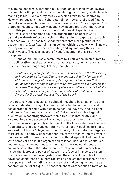this are no longer relevant today, but a Hegelian approach would involve the search for the possibility of such mediating institutions, in which such standing is real, lived out. My own view, which I take to be inspired by Hegel's approach, is that the character of neo-liberal, globalized finance capitalism make such a search futile, and would count "for a Hegelian" as profound injustice, not a worry about "how people feel about themselves."

This particularly concerns the world of work. Especially in his lectures, Hegel's concerns about the organization of labor in early capitalism already reflect a pessimism that a reformist approach to such practices would be possible. "A factory presents a sad picture of the deadening (*Abstumpfung*) of human beings, which is also why on Sundays factory workers lose no time in spending and squandering their entire weekly wages." This is an aspect of Hegel's position that is relatively unexplored.

None of this requires a commitment to a patriarchal nuclear family, non-deliberative legislatures, weird voting practices, guilds, a monarch or periodic wars, although Hegel clearly thought it did.

*Could you say a couple of words about the perspective the Philosophy of Right involves for you? You have mentioned that the famous owl of Minerva passage at the end of its preface (that indicates that philosophy always comes too late to tell the world how it ought to be) indicates that Hegel cannot simply give a normative account of what a just state and social organization looks like. But what does this mean for you for the overall perspective of the book?*

I understand Hegel's social and political thought to be a realism, as that term is understood today. This means that reflection on political and social order must begin with human beings "as they are," and in Hegel that means, "as they have come to be." But access to such a beginning orientation is not straightforwardly empirical. It is interpretive, and also requires some account of why they are as they have come to be. To many this seems impossibly ambitious, that the late modern world is too fragmented, religiously and culturally diverse for any such an attempt to succeed. But from a "Hegelian" point of view (not the historical Hegel's) there are sufficiently widespread features of the organization of power in modern societies to make such an interpretive-diagnostic task possible. With some variations, the organization of labor under global capitalism, and its material inequalities and humiliating working conditions, a consumerist culture, the extreme concentration of wealth in ever fewer hands, the decreasing power of states in the face of finance capitalism, the phenomenon of mass migrations and the apparent inability of advanced societies to eliminate racism and sexism that increase with the disappearance of the nation state are substantial enough to count as a coherent object of critique. Any assessment of whether such a form of life

Volume 8 Issue 2

C R  $\mathbf{I}$ S  $\mathbf{I}$ S & C R I T I Q U E

/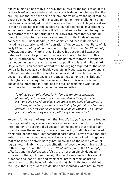allows human beings to live in a way that allows for the realization of the rationally reflective, self-determining, socially dependent beings that they are, requires that we have some comprehensive understanding of real life under such conditions, and this seems to me far more challenging than has been acknowledged. In addition, one of the virtues of Hegel's realism is that he does not treat the question of our allegiance to, investment in, willingness to work for and sacrifice for what such a form of life requires as a matter of the superiority of a discursive argument that we should. It must be understood as a natural expression of the kinds of desires, concerns, self-understanding that a society produces in its citizens, including an experience of the frustration of these capacities. Parts of his early *Phenomenology of Spirit* are more helpful here than *The Philosophy of Right*, but properly interpreted, I believe his account of *Sittlichkeit*, dated as it is, can help us how to understand how to begin to do this. Finally, if rational self-interest and a calculation of material advantages cannot be the basis of such allegiance to public social and political order, Hegel's owe us an account of what the "belonging" required for the social solidarity he sees as so valuable consists in. Hegel was not a proponent of the nation state as that came to be understood after Herder, but his accounts of the institutions and practices that comprise the "Bildung" of burghers are inadequate for a mass, culturally diverse societies, and anyone interested in Hegel has the task of explaining what could contribute to this desideratum in modern societies.

S I S & C R I T I Q U E / Volume 8

C R  $\mathbf{I}$ 

Issue 2

*To follow up on this. Hegel is (in)famous for conceptualizing philosophy as "its own time comprehended in thoughts." Like everyone and everything else, philosophy is the child of its time. As you have pointed out, our time is not that of Hegel's, it is indeed very different. So, how can his concept of Geist, as you see it, be upheld for our contemporary present, politically and otherwise?* 

Assume for the sake of argument that Hegel's "*Logic*," as summarized in the *Encyclopedia Logic*, is a relatively successful account of all possible intelligibility, an account of all account-giving and one that makes room for and shows the necessity of forms of rendering intelligible dismissed by empiricist and formal-mathematical paradigms. I have argued that this enterprise should count as a metaphysics, an account of being in general: that to be is to be determinately intelligible and so the specification of logical determinability is the specification of possible determinate being. In this interpretation, the so-called "*Realphilosophie*," the *Philosophy of Nature* and the *Philosophy of Spirit*, are not then simply deduced from such a theory of pure thinking. Both make reference to historical practices and institutions and attempt to interpret them as proper embodiments of the being of nature and of Geist, in the terms laid out by the *Logic*, that Hegel wants to deduce philosophically what nature must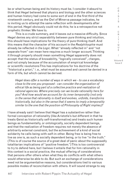be or what human being and its history must be. I consider it absurd to think that Hegel believed that physics and biology and the other sciences and human history had come to some sort of end in the first third of the nineteenth century, and as the Owl of Minerva passage indicates, he is inviting us to attempt the same reflection with developments after this period. Hegel obviously could not do this; he is a retrospective not prophetic thinker. We have to.

This is a crude summary, and it leaves out a massive difficulty. Since Hegel denies any strict separability between pure thinking and intuition, this should have implications for the theory of pure thinking itself. And this means that the character of his account in the *Realphilosphie* must already be reflected *in the Logic*. What "already reflected in" and "not separate from" can mean here requires a much longer account. Thinking it through properly should mean something Hegel apparently does not accept: that the status of knowability, "logically conceived", *changes*, and not simply because of the accumulation of empirical knowledge or scientific revolutions This has implications for his doctrine of the "historical a priori," i .e., what must be assumed and cannot be denied in a form of life, but which cannot be derived.

*Hegel does offer a number of ways in which we - to use a vocabulary close to the one you proposed - can consider the organization of ethical life as being part of a collective practice and realization of rational agencies. Where precisely can we locate rationality here for you? And how would we account for its inner temporality (not only in the sense that rationality is itself and evolves, unfolds, transforms historically, but also in the sense that it seems to imply a temporality similar to the one that the position of Philosophy of Right implies)?*

I have already said I believe that Hegel has a substantive rather than formal conception of rationality (like Aristotle's but different in that he treats Geist as historically self-transformative) and treats such human beings as fundamentally, or ontologically, socially dependent beings, and that the realization of freedom requires not merely the absence of arbitrarily external constraint, but the achievement of a kind of social solidarity he calls being-with-self-in-other. Being free is being free to live as one is, as such a socially dependent being, or to live "in the truth." (This is of course the source of a great deal of panic about the supposedly totalitarian implications of "positive freedom.") This is too controversial to try to defend here, but I believe it entails that for him rationality in this context is a social practice, the mutual offering of considerations that persons offer others when what they do conflicts with what others would otherwise be able to do. But such an exchange of considerations need not be argumentative reasons, but considerations tied to various possible modes of reconciliation with others. It will sound strange to say

/ Volume 8 Issue 2

C R  $\mathbf{I}$ S I S & C R I T I Q U E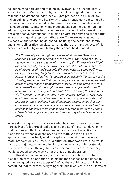so, but he considers art and religion as involved in this reconciliatory attempt as well. More concretely, various things Hegel defends can and still out to be defended today: basic rights protection in a rule of law, individual moral responsibility (for what was intentionally done, not what happens because of what I do), the free choice of an occupation and marriage partners, autonomy and independence as the goal of familial education, some means for the concrete and recognized expression of one's distinctive personhood, including private property, social solidarity as a common good, a representative state. There are many aspects of his position that cannot be defended, including the patriarchal family and a non-deliberative legislature, just as there are many aspects of his accounts or art, religion and history that cannot be defended.

*The Philosophy of the Right ends with what Eduard Gans once described as the disappearance of the state in the ocean of history - which was in part a reason why the end of the Philosophy of Right that conceptually coincided with the end of the state, was taken to be philosophically and conceptually good news by some (rather on the left, obviously). Hegel does seem to indicate that there is no eternal state and that (world-)history is necessarily the history of the state(s), which implies that the coming to be and the ceasing to be of states is what makes and manifests history. Do you agree with this assessment? And if this might be the case, what precisely does this mean for the historicity within a state? We are asking this also vis-avis the present and contemporary conjuncture, which is, especially due to the pandemic, often described in terms of an evaporation of historical time and Hegel himself indicates several times that our collective habits can make what are actual achievements of freedom disappear and make them appear as if they had been there all along (Hegel is talking for example about the security of a safe street in a state).*

A very difficult question. It involves what has already been discussed here as Hegel's historical realism, and aspects of historical development that he does not think can disappear without ethical harm, like the distinction between civil society and the state. What he did not appreciate was how badly modern capitalism would require massive state intervention, and how such a situation after World War One would invite the major stake holders in civil society to work to obliterate this distinction between the regulatory and the political state or that they would succeed so decisively after the rise of neoliberalism.

This does not mean resignation to a historical fatalism. The dissolution of this distinction also means the absence of allegiance to a common good, or any strategy of *Bildung* that could restore it. This is something that threatens everything from public education to all forms of

448

E / Volume 8

Issue 2

C R  $\mathbf{I}$ S I S & C R I T I Q U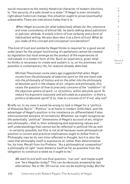social insurance to the merely theatrical character of modern elections to "the security of a safe street in a state." If Hegel is even minimally right about historical change, this situation ought to prove (eventually) unbearable. There are indications today that it is.

*When Hegel accounts for what subjectively allows for the coherence and inner consistency of ethical life, he starts talking about patriotism or patriotic attitude. It entails a form of true certainty and a form of habitualized willing. He also describes it as a form of trust. What do you make of this concept and conceptual concatenation?*

 The kind of trust and solidarity Hegel thinks is required for a good social order (even for the proper functioning of capitalism) cannot be created by legislation but must emerge as the product of the experiences of individuals in a modern form of life. Such an experience, given what he thinks is necessary to create and sustain it, is, on his premises, not possible in contemporary life, for reasons already sketched.

*Michael Theunissen some years ago suggested that when Hegel moves from the philosophy of objective spirit on the one hand side into the philosophy of history and on the other into the philosophy of absolute spirit in the shapes of art, religion and philosophy, this raises the question of how to precisely conceive of the "sublation" of the objective sphere of spirit, i.e. of politics, within absolute spirit. To reduce his argument massively and articulate as a question: is there a politics of absolute spirit? If so, how to conceive of it? If not, why not?* 

Briefly no. In my view it would be wrong to look in Hegel for a "politics of Absolute Spirit." "Politics" is at home in modern *Sittlichkeit*, and the advantage of Hegel's position is his insistence on differentiated if also interconnected domains of normativity. Whatever we might recognize as the potentially "political" dimensions of Hegel's account of art, religion and philosophy – that is, their embodying and expressing values and self-understandings that cannot but be reflected in political life as well - is certainly possible, but this is not at all because some philosophical position is correct and practical implications ought to *follow* from it. Philosophy may be its own time reflected in thought, but it is also the case that philosophy itself is expressive of, rather than determinative for, its time. Recall from his Preface: "As a philosophical composition" a philosophy of right "must distance itself as far as possible from the obligation to construct a state as it ought to be."

*We want to end with one final question: "can one" and maybe ought one "be a Hegelian today?" This can be obviously answered by two alternatives: Yes or No. Of course, one can be anything today. But the*  Issue 2

C R I S I S & C R I T I